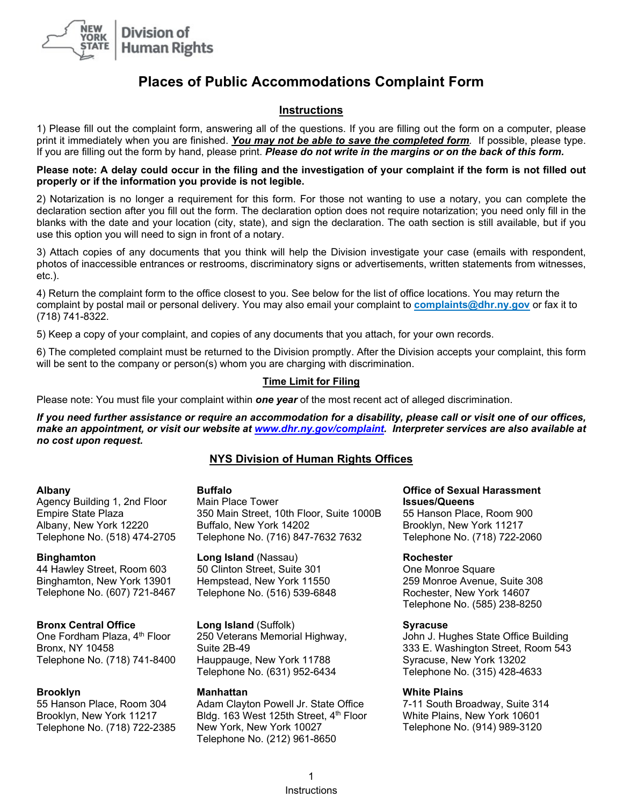

# **Places of Public Accommodations Complaint Form**

# **Instructions**

1) Please fill out the complaint form, answering all of the questions. If you are filling out the form on a computer, please print it immediately when you are finished. *You may not be able to save the completed form.* If possible, please type. If you are filling out the form by hand, please print. *Please do not write in the margins or on the back of this form.*

**Please note: A delay could occur in the filing and the investigation of your complaint if the form is not filled out properly or if the information you provide is not legible.**

2) Notarization is no longer a requirement for this form. For those not wanting to use a notary, you can complete the declaration section after you fill out the form. The declaration option does not require notarization; you need only fill in the blanks with the date and your location (city, state), and sign the declaration. The oath section is still available, but if you use this option you will need to sign in front of a notary.

3) Attach copies of any documents that you think will help the Division investigate your case (emails with respondent, photos of inaccessible entrances or restrooms, discriminatory signs or advertisements, written statements from witnesses, etc.).

4) Return the complaint form to the office closest to you. See below for the list of office locations. You may return the complaint by postal mail or personal delivery. You may also email your complaint to **[complaints@dhr.ny.gov](mailto:complaints@dhr.ny.gov)** or fax it to (718) 741-8322.

5) Keep a copy of your complaint, and copies of any documents that you attach, for your own records.

6) The completed complaint must be returned to the Division promptly. After the Division accepts your complaint, this form will be sent to the company or person(s) whom you are charging with discrimination.

# **Time Limit for Filing**

Please note: You must file your complaint within *one year* of the most recent act of alleged discrimination.

*If you need further assistance or require an accommodation for a disability, please call or visit one of our offices, make an appointment, or visit our website at www.dhr.ny.gov/complaint. Interpreter services are also available at no cost upon request.*

# **NYS Division of Human Rights Offices**

#### **Albany**

Agency Building 1, 2nd Floor Empire State Plaza Albany, New York 12220 Telephone No. (518) 474-2705

#### **Binghamton**

44 Hawley Street, Room 603 Binghamton, New York 13901 Telephone No. (607) 721-8467

# **Bronx Central Office**

One Fordham Plaza, 4<sup>th</sup> Floor Bronx, NY 10458 Telephone No. (718) 741-8400

# **Brooklyn**

55 Hanson Place, Room 304 Brooklyn, New York 11217 Telephone No. (718) 722-2385

# **Buffalo**

Main Place Tower 350 Main Street, 10th Floor, Suite 1000B Buffalo, New York 14202 Telephone No. (716) 847-7632 7632

**Long Island** (Nassau) 50 Clinton Street, Suite 301 Hempstead, New York 11550 Telephone No. (516) 539-6848

# **Long Island** (Suffolk)

250 Veterans Memorial Highway, Suite 2B-49 Hauppauge, New York 11788 Telephone No. (631) 952-6434

# **Manhattan**

Adam Clayton Powell Jr. State Office Bldg. 163 West 125th Street, 4<sup>th</sup> Floor New York, New York 10027 Telephone No. (212) 961-8650

#### **Office of Sexual Harassment Issues/Queens**

55 Hanson Place, Room 900 Brooklyn, New York 11217 Telephone No. (718) 722-2060

# **Rochester**

One Monroe Square 259 Monroe Avenue, Suite 308 Rochester, New York 14607 Telephone No. (585) 238-8250

# **Syracuse**

John J. Hughes State Office Building 333 E. Washington Street, Room 543 Syracuse, New York 13202 Telephone No. (315) 428-4633

#### **White Plains**

7-11 South Broadway, Suite 314 White Plains, New York 10601 Telephone No. (914) 989-3120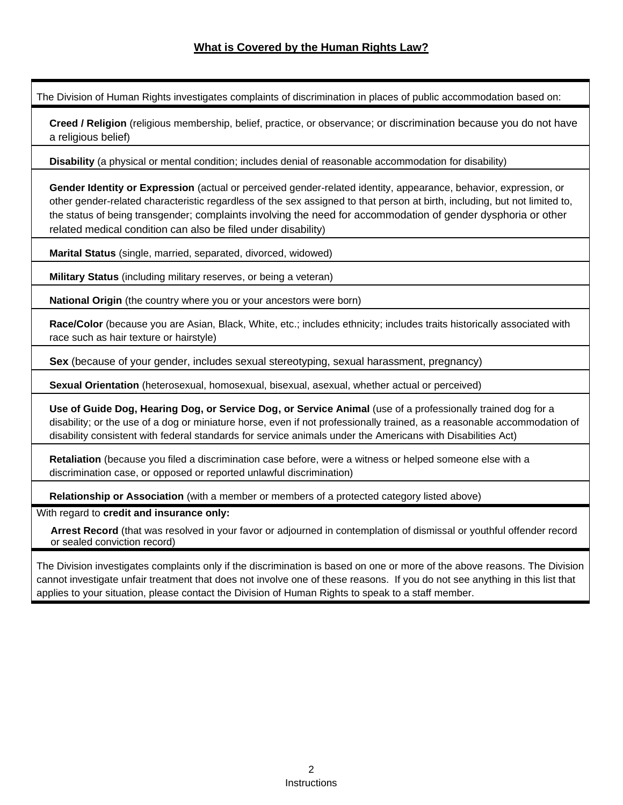The Division of Human Rights investigates complaints of discrimination in places of public accommodation based on:

**Creed / Religion** (religious membership, belief, practice, or observance; or discrimination because you do not have a religious belief)

**Disability** (a physical or mental condition; includes denial of reasonable accommodation for disability)

**Gender Identity or Expression** (actual or perceived gender-related identity, appearance, behavior, expression, or other gender-related characteristic regardless of the sex assigned to that person at birth, including, but not limited to, the status of being transgender; complaints involving the need for accommodation of gender dysphoria or other related medical condition can also be filed under disability)

**Marital Status** (single, married, separated, divorced, widowed)

**Military Status** (including military reserves, or being a veteran)

**National Origin** (the country where you or your ancestors were born)

**Race/Color** (because you are Asian, Black, White, etc.; includes ethnicity; includes traits historically associated with race such as hair texture or hairstyle)

**Sex** (because of your gender, includes sexual stereotyping, sexual harassment, pregnancy)

**Sexual Orientation** (heterosexual, homosexual, bisexual, asexual, whether actual or perceived)

**Use of Guide Dog, Hearing Dog, or Service Dog, or Service Animal** (use of a professionally trained dog for a disability; or the use of a dog or miniature horse, even if not professionally trained, as a reasonable accommodation of disability consistent with federal standards for service animals under the Americans with Disabilities Act)

**Retaliation** (because you filed a discrimination case before, were a witness or helped someone else with a discrimination case, or opposed or reported unlawful discrimination)

**Relationship or Association** (with a member or members of a protected category listed above)

With regard to **credit and insurance only:**

 **Arrest Record** (that was resolved in your favor or adjourned in contemplation of dismissal or youthful offender record or sealed conviction record)

The Division investigates complaints only if the discrimination is based on one or more of the above reasons. The Division cannot investigate unfair treatment that does not involve one of these reasons. If you do not see anything in this list that applies to your situation, please contact the Division of Human Rights to speak to a staff member.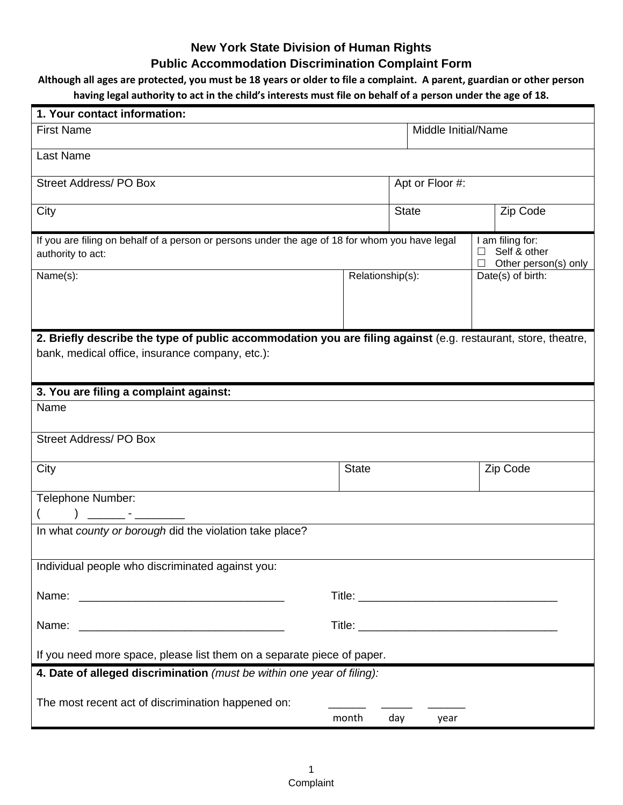# **New York State Division of Human Rights**

# **Public Accommodation Discrimination Complaint Form**

# **Although all ages are protected, you must be 18 years or older to file a complaint. A parent, guardian or other person**

# **having legal authority to act in the child's interests must file on behalf of a person under the age of 18.**

| 1. Your contact information:                                                                                        |                     |              |                                                          |  |
|---------------------------------------------------------------------------------------------------------------------|---------------------|--------------|----------------------------------------------------------|--|
| <b>First Name</b>                                                                                                   | Middle Initial/Name |              |                                                          |  |
| Last Name                                                                                                           |                     |              |                                                          |  |
| <b>Street Address/PO Box</b>                                                                                        | Apt or Floor #:     |              |                                                          |  |
| City                                                                                                                |                     | <b>State</b> | Zip Code                                                 |  |
| If you are filing on behalf of a person or persons under the age of 18 for whom you have legal<br>authority to act: |                     |              | I am filing for:<br>Self & other<br>Other person(s) only |  |
| Name(s):                                                                                                            | Relationship(s):    |              | Date(s) of birth:                                        |  |
|                                                                                                                     |                     |              |                                                          |  |
| 2. Briefly describe the type of public accommodation you are filing against (e.g. restaurant, store, theatre,       |                     |              |                                                          |  |
| bank, medical office, insurance company, etc.):                                                                     |                     |              |                                                          |  |
| 3. You are filing a complaint against:                                                                              |                     |              |                                                          |  |
| Name                                                                                                                |                     |              |                                                          |  |
| <b>Street Address/PO Box</b>                                                                                        |                     |              |                                                          |  |
| City                                                                                                                | <b>State</b>        |              | Zip Code                                                 |  |
| Telephone Number:                                                                                                   |                     |              |                                                          |  |
|                                                                                                                     |                     |              |                                                          |  |
| In what county or borough did the violation take place?                                                             |                     |              |                                                          |  |
| Individual people who discriminated against you:                                                                    |                     |              |                                                          |  |
|                                                                                                                     |                     |              |                                                          |  |
|                                                                                                                     |                     |              |                                                          |  |
| If you need more space, please list them on a separate piece of paper.                                              |                     |              |                                                          |  |
| 4. Date of alleged discrimination (must be within one year of filing):                                              |                     |              |                                                          |  |
| The most recent act of discrimination happened on:                                                                  |                     |              |                                                          |  |
|                                                                                                                     | month               | day<br>year  |                                                          |  |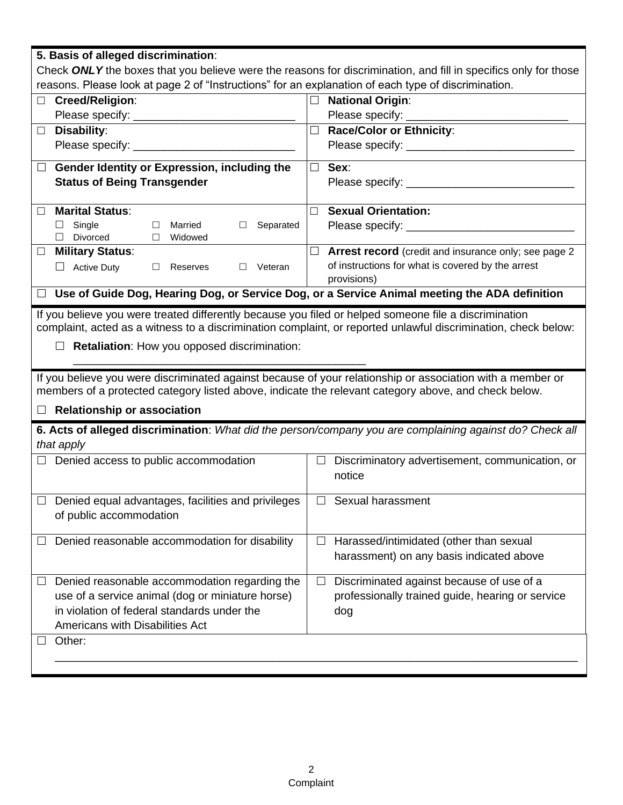| 5. Basis of alleged discrimination:                                                                             |                                                                                                                            |  |  |  |  |
|-----------------------------------------------------------------------------------------------------------------|----------------------------------------------------------------------------------------------------------------------------|--|--|--|--|
| Check ONLY the boxes that you believe were the reasons for discrimination, and fill in specifics only for those |                                                                                                                            |  |  |  |  |
| reasons. Please look at page 2 of "Instructions" for an explanation of each type of discrimination.             |                                                                                                                            |  |  |  |  |
| Creed/Religion:<br>$\Box$                                                                                       | <b>National Origin:</b><br>$\Box$                                                                                          |  |  |  |  |
| Please specify: _                                                                                               | Please specify: _                                                                                                          |  |  |  |  |
| Disability:                                                                                                     | $\Box$<br><b>Race/Color or Ethnicity:</b>                                                                                  |  |  |  |  |
|                                                                                                                 |                                                                                                                            |  |  |  |  |
| Gender Identity or Expression, including the<br>$\Box$                                                          | $\Box$<br>Sex:                                                                                                             |  |  |  |  |
| <b>Status of Being Transgender</b>                                                                              |                                                                                                                            |  |  |  |  |
|                                                                                                                 |                                                                                                                            |  |  |  |  |
| <b>Marital Status:</b><br>П.                                                                                    | <b>Sexual Orientation:</b><br>$\Box$                                                                                       |  |  |  |  |
| Single<br>$\Box$<br>Married<br>Separated<br>□<br>□                                                              |                                                                                                                            |  |  |  |  |
| $\Box$<br>Divorced<br>Widowed<br>$\Box$                                                                         |                                                                                                                            |  |  |  |  |
| <b>Military Status:</b><br>$\Box$                                                                               | $\Box$<br><b>Arrest record</b> (credit and insurance only; see page 2<br>of instructions for what is covered by the arrest |  |  |  |  |
| Veteran<br><b>Active Duty</b><br>$\Box$<br>Reserves<br>$\Box$<br>$\Box$                                         | provisions)                                                                                                                |  |  |  |  |
| □ Use of Guide Dog, Hearing Dog, or Service Dog, or a Service Animal meeting the ADA definition                 |                                                                                                                            |  |  |  |  |
|                                                                                                                 |                                                                                                                            |  |  |  |  |
| If you believe you were treated differently because you filed or helped someone file a discrimination           |                                                                                                                            |  |  |  |  |
| complaint, acted as a witness to a discrimination complaint, or reported unlawful discrimination, check below:  |                                                                                                                            |  |  |  |  |
|                                                                                                                 |                                                                                                                            |  |  |  |  |
| Retaliation: How you opposed discrimination:                                                                    |                                                                                                                            |  |  |  |  |
|                                                                                                                 |                                                                                                                            |  |  |  |  |
| If you believe you were discriminated against because of your relationship or association with a member or      |                                                                                                                            |  |  |  |  |
| members of a protected category listed above, indicate the relevant category above, and check below.            |                                                                                                                            |  |  |  |  |
| <b>Relationship or association</b>                                                                              |                                                                                                                            |  |  |  |  |
|                                                                                                                 | 6. Acts of alleged discrimination: What did the person/company you are complaining against do? Check all                   |  |  |  |  |
| that apply                                                                                                      |                                                                                                                            |  |  |  |  |
| Denied access to public accommodation                                                                           | $\Box$<br>Discriminatory advertisement, communication, or                                                                  |  |  |  |  |
|                                                                                                                 | notice                                                                                                                     |  |  |  |  |
|                                                                                                                 |                                                                                                                            |  |  |  |  |
| $\Box$ Denied equal advantages, facilities and privileges                                                       | Sexual harassment<br>$\Box$                                                                                                |  |  |  |  |
| of public accommodation                                                                                         |                                                                                                                            |  |  |  |  |
| $\Box$ Denied reasonable accommodation for disability                                                           | Harassed/intimidated (other than sexual                                                                                    |  |  |  |  |
|                                                                                                                 |                                                                                                                            |  |  |  |  |
|                                                                                                                 | harassment) on any basis indicated above                                                                                   |  |  |  |  |
| Denied reasonable accommodation regarding the                                                                   | Discriminated against because of use of a<br>$\Box$                                                                        |  |  |  |  |
| use of a service animal (dog or miniature horse)                                                                | professionally trained guide, hearing or service                                                                           |  |  |  |  |
| in violation of federal standards under the                                                                     | dog                                                                                                                        |  |  |  |  |
| Americans with Disabilities Act                                                                                 |                                                                                                                            |  |  |  |  |
| Other:                                                                                                          |                                                                                                                            |  |  |  |  |
|                                                                                                                 |                                                                                                                            |  |  |  |  |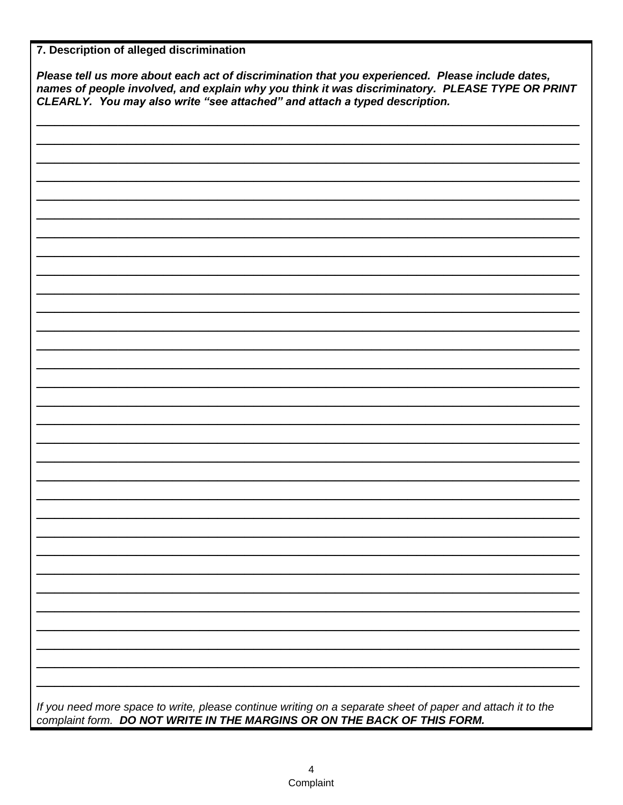| Please tell us more about each act of discrimination that you experienced. Please include dates,<br>names of people involved, and explain why you think it was discriminatory. PLEASE TYPE OR PRINT<br>CLEARLY. You may also write "see attached" and attach a typed description. |  |  |  |  |
|-----------------------------------------------------------------------------------------------------------------------------------------------------------------------------------------------------------------------------------------------------------------------------------|--|--|--|--|
|                                                                                                                                                                                                                                                                                   |  |  |  |  |
|                                                                                                                                                                                                                                                                                   |  |  |  |  |
|                                                                                                                                                                                                                                                                                   |  |  |  |  |
|                                                                                                                                                                                                                                                                                   |  |  |  |  |
|                                                                                                                                                                                                                                                                                   |  |  |  |  |
|                                                                                                                                                                                                                                                                                   |  |  |  |  |
|                                                                                                                                                                                                                                                                                   |  |  |  |  |
|                                                                                                                                                                                                                                                                                   |  |  |  |  |
|                                                                                                                                                                                                                                                                                   |  |  |  |  |
|                                                                                                                                                                                                                                                                                   |  |  |  |  |
|                                                                                                                                                                                                                                                                                   |  |  |  |  |
|                                                                                                                                                                                                                                                                                   |  |  |  |  |
|                                                                                                                                                                                                                                                                                   |  |  |  |  |
|                                                                                                                                                                                                                                                                                   |  |  |  |  |
|                                                                                                                                                                                                                                                                                   |  |  |  |  |
|                                                                                                                                                                                                                                                                                   |  |  |  |  |
|                                                                                                                                                                                                                                                                                   |  |  |  |  |
|                                                                                                                                                                                                                                                                                   |  |  |  |  |
|                                                                                                                                                                                                                                                                                   |  |  |  |  |
|                                                                                                                                                                                                                                                                                   |  |  |  |  |
|                                                                                                                                                                                                                                                                                   |  |  |  |  |
|                                                                                                                                                                                                                                                                                   |  |  |  |  |
|                                                                                                                                                                                                                                                                                   |  |  |  |  |
|                                                                                                                                                                                                                                                                                   |  |  |  |  |
|                                                                                                                                                                                                                                                                                   |  |  |  |  |
|                                                                                                                                                                                                                                                                                   |  |  |  |  |
|                                                                                                                                                                                                                                                                                   |  |  |  |  |
|                                                                                                                                                                                                                                                                                   |  |  |  |  |
|                                                                                                                                                                                                                                                                                   |  |  |  |  |
|                                                                                                                                                                                                                                                                                   |  |  |  |  |
|                                                                                                                                                                                                                                                                                   |  |  |  |  |
|                                                                                                                                                                                                                                                                                   |  |  |  |  |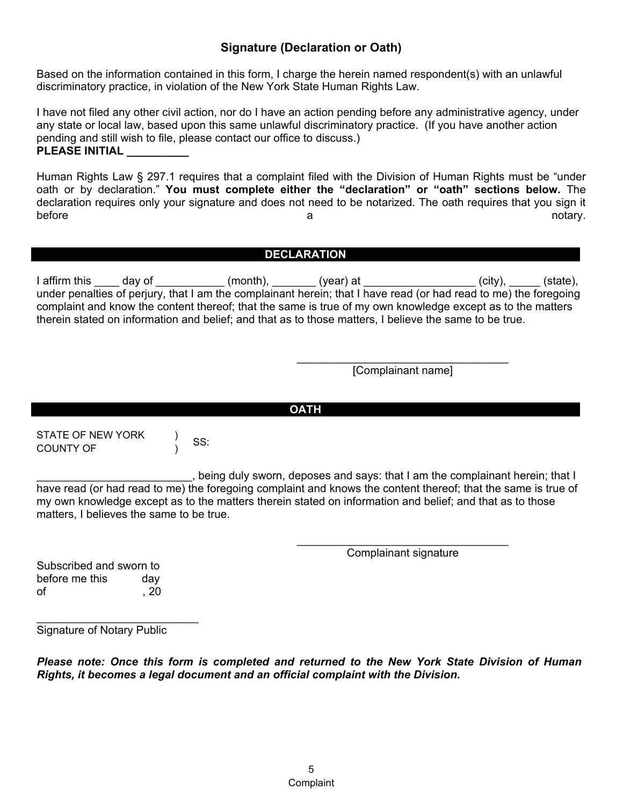# **Signature (Declaration or Oath)**

Based on the information contained in this form, I charge the herein named respondent(s) with an unlawful discriminatory practice, in violation of the New York State Human Rights Law.

I have not filed any other civil action, nor do I have an action pending before any administrative agency, under any state or local law, based upon this same unlawful discriminatory practice. (If you have another action pending and still wish to file, please contact our office to discuss.) **PLEASE INITIAL \_\_\_\_\_\_\_\_\_\_**

Human Rights Law § 297.1 requires that a complaint filed with the Division of Human Rights must be "under oath or by declaration." **You must complete either the "declaration" or "oath" sections below.** The declaration requires only your signature and does not need to be notarized. The oath requires that you sign it before a notary.

# **DECLARATION**

I affirm this \_\_\_\_ day of \_\_\_\_\_\_\_\_\_\_\_ (month), \_\_\_\_\_\_\_ (year) at \_\_\_\_\_\_\_\_\_\_\_\_\_\_\_\_\_\_ (city), \_\_\_\_\_ (state), under penalties of perjury, that I am the complainant herein; that I have read (or had read to me) the foregoing complaint and know the content thereof; that the same is true of my own knowledge except as to the matters therein stated on information and belief; and that as to those matters, I believe the same to be true.

> \_\_\_\_\_\_\_\_\_\_\_\_\_\_\_\_\_\_\_\_\_\_\_\_\_\_\_\_\_\_\_\_\_\_ [Complainant name]

STATE OF NEW YORK COUNTY OF ) SS:

\_\_\_\_\_\_\_\_\_\_\_\_\_\_\_\_\_\_\_\_\_\_\_\_\_, being duly sworn, deposes and says: that I am the complainant herein; that I have read (or had read to me) the foregoing complaint and knows the content thereof; that the same is true of my own knowledge except as to the matters therein stated on information and belief; and that as to those matters, I believes the same to be true.

**OATH**

\_\_\_\_\_\_\_\_\_\_\_\_\_\_\_\_\_\_\_\_\_\_\_\_\_\_\_\_\_\_\_\_\_\_ Complainant signature

Subscribed and sworn to before me this day of , 20

 $\overline{\phantom{a}}$  , where  $\overline{\phantom{a}}$  , where  $\overline{\phantom{a}}$  , where  $\overline{\phantom{a}}$  , where  $\overline{\phantom{a}}$ Signature of Notary Public

*Please note: Once this form is completed and returned to the New York State Division of Human Rights, it becomes a legal document and an official complaint with the Division.*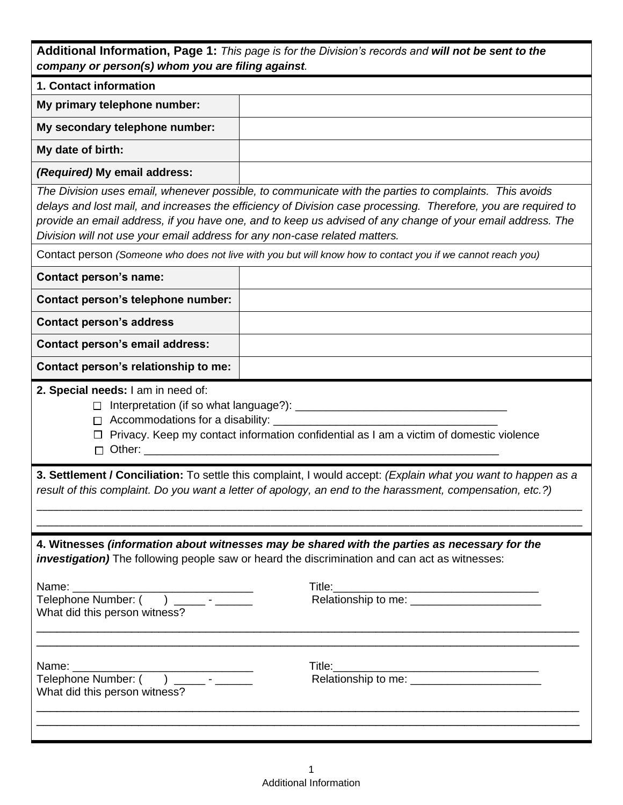| Additional Information, Page 1: This page is for the Division's records and will not be sent to the |
|-----------------------------------------------------------------------------------------------------|
| company or person(s) whom you are filing against.                                                   |

| company or person(s) whom you are filling against.                         |                                                                                                                                                                                                                                                                                                                                        |
|----------------------------------------------------------------------------|----------------------------------------------------------------------------------------------------------------------------------------------------------------------------------------------------------------------------------------------------------------------------------------------------------------------------------------|
| 1. Contact information                                                     |                                                                                                                                                                                                                                                                                                                                        |
| My primary telephone number:                                               |                                                                                                                                                                                                                                                                                                                                        |
| My secondary telephone number:                                             |                                                                                                                                                                                                                                                                                                                                        |
| My date of birth:                                                          |                                                                                                                                                                                                                                                                                                                                        |
| (Required) My email address:                                               |                                                                                                                                                                                                                                                                                                                                        |
| Division will not use your email address for any non-case related matters. | The Division uses email, whenever possible, to communicate with the parties to complaints. This avoids<br>delays and lost mail, and increases the efficiency of Division case processing. Therefore, you are required to<br>provide an email address, if you have one, and to keep us advised of any change of your email address. The |
|                                                                            | Contact person (Someone who does not live with you but will know how to contact you if we cannot reach you)                                                                                                                                                                                                                            |
| <b>Contact person's name:</b>                                              |                                                                                                                                                                                                                                                                                                                                        |
| Contact person's telephone number:                                         |                                                                                                                                                                                                                                                                                                                                        |
| <b>Contact person's address</b>                                            |                                                                                                                                                                                                                                                                                                                                        |
| <b>Contact person's email address:</b>                                     |                                                                                                                                                                                                                                                                                                                                        |
| Contact person's relationship to me:                                       |                                                                                                                                                                                                                                                                                                                                        |
| 2. Special needs: I am in need of:<br>$\Box$                               | $\Box$ Privacy. Keep my contact information confidential as I am a victim of domestic violence<br>3. Settlement / Conciliation: To settle this complaint, I would accept: (Explain what you want to happen as a<br>result of this complaint. Do you want a letter of apology, an end to the harassment, compensation, etc.?)           |
| What did this person witness?                                              | 4. Witnesses (information about witnesses may be shared with the parties as necessary for the<br>investigation) The following people saw or heard the discrimination and can act as witnesses:                                                                                                                                         |
| Name: Name<br>What did this person witness?                                |                                                                                                                                                                                                                                                                                                                                        |